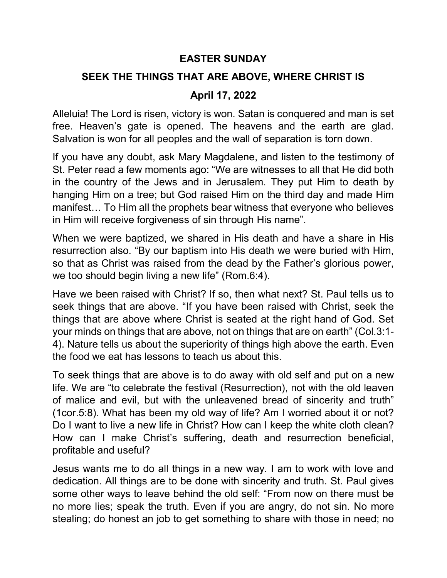## EASTER SUNDAY

## SEEK THE THINGS THAT ARE ABOVE, WHERE CHRIST IS

## April 17, 2022

Alleluia! The Lord is risen, victory is won. Satan is conquered and man is set free. Heaven's gate is opened. The heavens and the earth are glad. Salvation is won for all peoples and the wall of separation is torn down.

If you have any doubt, ask Mary Magdalene, and listen to the testimony of St. Peter read a few moments ago: "We are witnesses to all that He did both in the country of the Jews and in Jerusalem. They put Him to death by hanging Him on a tree; but God raised Him on the third day and made Him manifest… To Him all the prophets bear witness that everyone who believes in Him will receive forgiveness of sin through His name".

When we were baptized, we shared in His death and have a share in His resurrection also. "By our baptism into His death we were buried with Him, so that as Christ was raised from the dead by the Father's glorious power, we too should begin living a new life" (Rom.6:4).

Have we been raised with Christ? If so, then what next? St. Paul tells us to seek things that are above. "If you have been raised with Christ, seek the things that are above where Christ is seated at the right hand of God. Set your minds on things that are above, not on things that are on earth" (Col.3:1- 4). Nature tells us about the superiority of things high above the earth. Even the food we eat has lessons to teach us about this.

To seek things that are above is to do away with old self and put on a new life. We are "to celebrate the festival (Resurrection), not with the old leaven of malice and evil, but with the unleavened bread of sincerity and truth" (1cor.5:8). What has been my old way of life? Am I worried about it or not? Do I want to live a new life in Christ? How can I keep the white cloth clean? How can I make Christ's suffering, death and resurrection beneficial, profitable and useful?

Jesus wants me to do all things in a new way. I am to work with love and dedication. All things are to be done with sincerity and truth. St. Paul gives some other ways to leave behind the old self: "From now on there must be no more lies; speak the truth. Even if you are angry, do not sin. No more stealing; do honest an job to get something to share with those in need; no